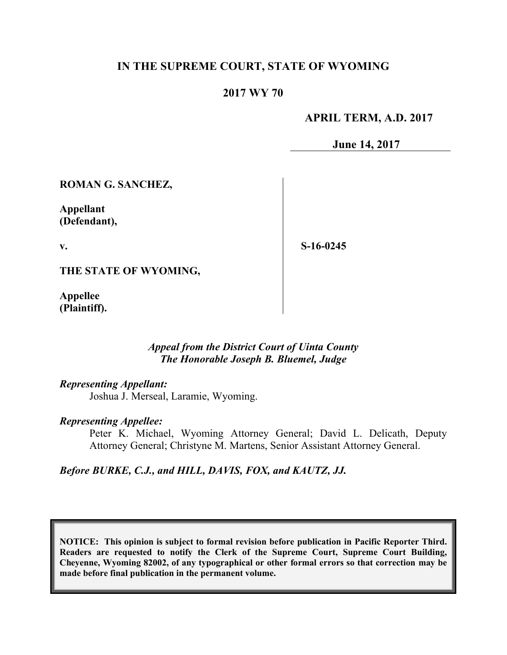# **IN THE SUPREME COURT, STATE OF WYOMING**

### **2017 WY 70**

### **APRIL TERM, A.D. 2017**

**June 14, 2017**

**ROMAN G. SANCHEZ,**

**Appellant (Defendant),**

**v.**

**S-16-0245**

**THE STATE OF WYOMING,**

**Appellee (Plaintiff).**

### *Appeal from the District Court of Uinta County The Honorable Joseph B. Bluemel, Judge*

### *Representing Appellant:*

Joshua J. Merseal, Laramie, Wyoming.

#### *Representing Appellee:*

Peter K. Michael, Wyoming Attorney General; David L. Delicath, Deputy Attorney General; Christyne M. Martens, Senior Assistant Attorney General.

*Before BURKE, C.J., and HILL, DAVIS, FOX, and KAUTZ, JJ.*

**NOTICE: This opinion is subject to formal revision before publication in Pacific Reporter Third. Readers are requested to notify the Clerk of the Supreme Court, Supreme Court Building, Cheyenne, Wyoming 82002, of any typographical or other formal errors so that correction may be made before final publication in the permanent volume.**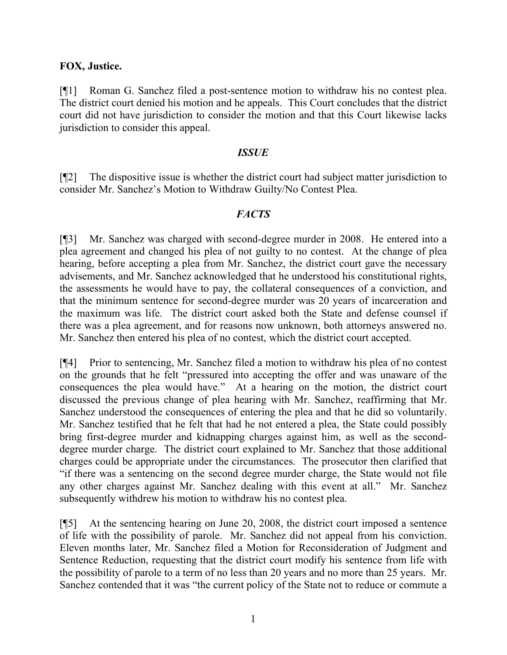## **FOX, Justice.**

[¶1] Roman G. Sanchez filed a post-sentence motion to withdraw his no contest plea. The district court denied his motion and he appeals. This Court concludes that the district court did not have jurisdiction to consider the motion and that this Court likewise lacks jurisdiction to consider this appeal.

#### *ISSUE*

[¶2] The dispositive issue is whether the district court had subject matter jurisdiction to consider Mr. Sanchez's Motion to Withdraw Guilty/No Contest Plea.

### *FACTS*

[¶3] Mr. Sanchez was charged with second-degree murder in 2008. He entered into a plea agreement and changed his plea of not guilty to no contest. At the change of plea hearing, before accepting a plea from Mr. Sanchez, the district court gave the necessary advisements, and Mr. Sanchez acknowledged that he understood his constitutional rights, the assessments he would have to pay, the collateral consequences of a conviction, and that the minimum sentence for second-degree murder was 20 years of incarceration and the maximum was life. The district court asked both the State and defense counsel if there was a plea agreement, and for reasons now unknown, both attorneys answered no. Mr. Sanchez then entered his plea of no contest, which the district court accepted.

[¶4] Prior to sentencing, Mr. Sanchez filed a motion to withdraw his plea of no contest on the grounds that he felt "pressured into accepting the offer and was unaware of the consequences the plea would have." At a hearing on the motion, the district court discussed the previous change of plea hearing with Mr. Sanchez, reaffirming that Mr. Sanchez understood the consequences of entering the plea and that he did so voluntarily. Mr. Sanchez testified that he felt that had he not entered a plea, the State could possibly bring first-degree murder and kidnapping charges against him, as well as the seconddegree murder charge. The district court explained to Mr. Sanchez that those additional charges could be appropriate under the circumstances. The prosecutor then clarified that "if there was a sentencing on the second degree murder charge, the State would not file any other charges against Mr. Sanchez dealing with this event at all." Mr. Sanchez subsequently withdrew his motion to withdraw his no contest plea.

[¶5] At the sentencing hearing on June 20, 2008, the district court imposed a sentence of life with the possibility of parole. Mr. Sanchez did not appeal from his conviction. Eleven months later, Mr. Sanchez filed a Motion for Reconsideration of Judgment and Sentence Reduction, requesting that the district court modify his sentence from life with the possibility of parole to a term of no less than 20 years and no more than 25 years. Mr. Sanchez contended that it was "the current policy of the State not to reduce or commute a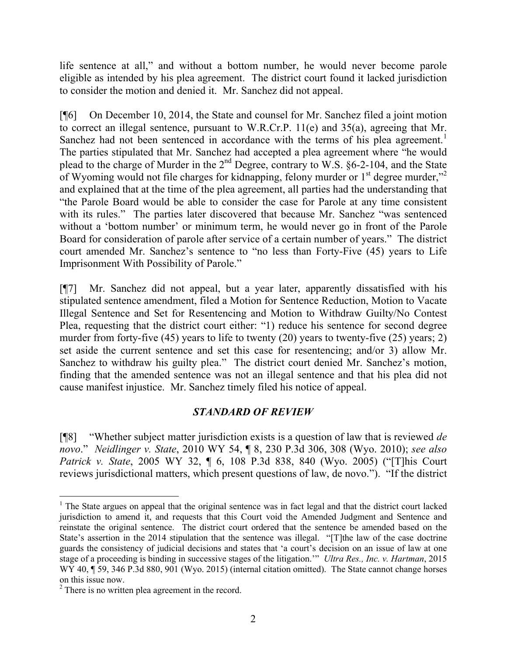life sentence at all," and without a bottom number, he would never become parole eligible as intended by his plea agreement. The district court found it lacked jurisdiction to consider the motion and denied it. Mr. Sanchez did not appeal.

[¶6] On December 10, 2014, the State and counsel for Mr. Sanchez filed a joint motion to correct an illegal sentence, pursuant to W.R.Cr.P. 11(e) and 35(a), agreeing that Mr. Sanchez had not been sentenced in accordance with the terms of his plea agreement.<sup>1</sup> The parties stipulated that Mr. Sanchez had accepted a plea agreement where "he would plead to the charge of Murder in the  $2<sup>nd</sup>$  Degree, contrary to W.S. §6-2-104, and the State of Wyoming would not file charges for kidnapping, felony murder or  $1<sup>st</sup>$  degree murder,"<sup>2</sup> and explained that at the time of the plea agreement, all parties had the understanding that "the Parole Board would be able to consider the case for Parole at any time consistent with its rules." The parties later discovered that because Mr. Sanchez "was sentenced without a 'bottom number' or minimum term, he would never go in front of the Parole Board for consideration of parole after service of a certain number of years." The district court amended Mr. Sanchez's sentence to "no less than Forty-Five (45) years to Life Imprisonment With Possibility of Parole."

[¶7] Mr. Sanchez did not appeal, but a year later, apparently dissatisfied with his stipulated sentence amendment, filed a Motion for Sentence Reduction, Motion to Vacate Illegal Sentence and Set for Resentencing and Motion to Withdraw Guilty/No Contest Plea, requesting that the district court either: "1) reduce his sentence for second degree murder from forty-five (45) years to life to twenty (20) years to twenty-five (25) years; 2) set aside the current sentence and set this case for resentencing; and/or 3) allow Mr. Sanchez to withdraw his guilty plea." The district court denied Mr. Sanchez's motion, finding that the amended sentence was not an illegal sentence and that his plea did not cause manifest injustice. Mr. Sanchez timely filed his notice of appeal.

# *STANDARD OF REVIEW*

[¶8] "Whether subject matter jurisdiction exists is a question of law that is reviewed *de novo*." *Neidlinger v. State*, 2010 WY 54, ¶ 8, 230 P.3d 306, 308 (Wyo. 2010); *see also Patrick v. State*, 2005 WY 32, ¶ 6, 108 P.3d 838, 840 (Wyo. 2005) ("[T]his Court reviews jurisdictional matters, which present questions of law, de novo."). "If the district

 <sup>1</sup> The State argues on appeal that the original sentence was in fact legal and that the district court lacked jurisdiction to amend it, and requests that this Court void the Amended Judgment and Sentence and reinstate the original sentence. The district court ordered that the sentence be amended based on the State's assertion in the 2014 stipulation that the sentence was illegal. "[T]the law of the case doctrine guards the consistency of judicial decisions and states that 'a court's decision on an issue of law at one stage of a proceeding is binding in successive stages of the litigation.'" *Ultra Res., Inc. v. Hartman*, 2015 WY 40, ¶ 59, 346 P.3d 880, 901 (Wyo. 2015) (internal citation omitted). The State cannot change horses on this issue now.

 $2^2$  There is no written plea agreement in the record.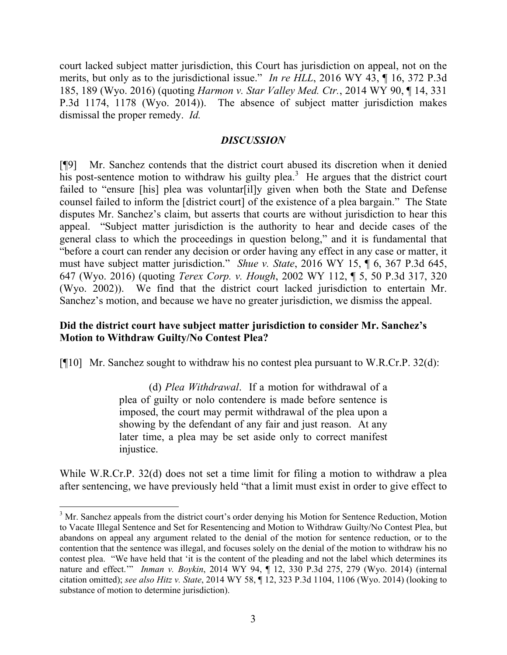court lacked subject matter jurisdiction, this Court has jurisdiction on appeal, not on the merits, but only as to the jurisdictional issue." *In re HLL*, 2016 WY 43, ¶ 16, 372 P.3d 185, 189 (Wyo. 2016) (quoting *Harmon v. Star Valley Med. Ctr.*, 2014 WY 90, ¶ 14, 331 P.3d 1174, 1178 (Wyo. 2014)). The absence of subject matter jurisdiction makes dismissal the proper remedy. *Id.*

### *DISCUSSION*

[¶9] Mr. Sanchez contends that the district court abused its discretion when it denied his post-sentence motion to withdraw his guilty plea.<sup>3</sup> He argues that the district court failed to "ensure [his] plea was voluntar[il]y given when both the State and Defense counsel failed to inform the [district court] of the existence of a plea bargain." The State disputes Mr. Sanchez's claim, but asserts that courts are without jurisdiction to hear this appeal. "Subject matter jurisdiction is the authority to hear and decide cases of the general class to which the proceedings in question belong," and it is fundamental that "before a court can render any decision or order having any effect in any case or matter, it must have subject matter jurisdiction." *Shue v. State*, 2016 WY 15, ¶ 6, 367 P.3d 645, 647 (Wyo. 2016) (quoting *Terex Corp. v. Hough*, 2002 WY 112, ¶ 5, 50 P.3d 317, 320 (Wyo. 2002)). We find that the district court lacked jurisdiction to entertain Mr. Sanchez's motion, and because we have no greater jurisdiction, we dismiss the appeal.

## **Did the district court have subject matter jurisdiction to consider Mr. Sanchez's Motion to Withdraw Guilty/No Contest Plea?**

[¶10] Mr. Sanchez sought to withdraw his no contest plea pursuant to W.R.Cr.P. 32(d):

(d) *Plea Withdrawal*. If a motion for withdrawal of a plea of guilty or nolo contendere is made before sentence is imposed, the court may permit withdrawal of the plea upon a showing by the defendant of any fair and just reason. At any later time, a plea may be set aside only to correct manifest injustice.

While W.R.Cr.P. 32(d) does not set a time limit for filing a motion to withdraw a plea after sentencing, we have previously held "that a limit must exist in order to give effect to

<sup>&</sup>lt;sup>3</sup> Mr. Sanchez appeals from the district court's order denying his Motion for Sentence Reduction, Motion to Vacate Illegal Sentence and Set for Resentencing and Motion to Withdraw Guilty/No Contest Plea, but abandons on appeal any argument related to the denial of the motion for sentence reduction, or to the contention that the sentence was illegal, and focuses solely on the denial of the motion to withdraw his no contest plea. "We have held that 'it is the content of the pleading and not the label which determines its nature and effect.'" *Inman v. Boykin*, 2014 WY 94, ¶ 12, 330 P.3d 275, 279 (Wyo. 2014) (internal citation omitted); *see also Hitz v. State*, 2014 WY 58, ¶ 12, 323 P.3d 1104, 1106 (Wyo. 2014) (looking to substance of motion to determine jurisdiction).